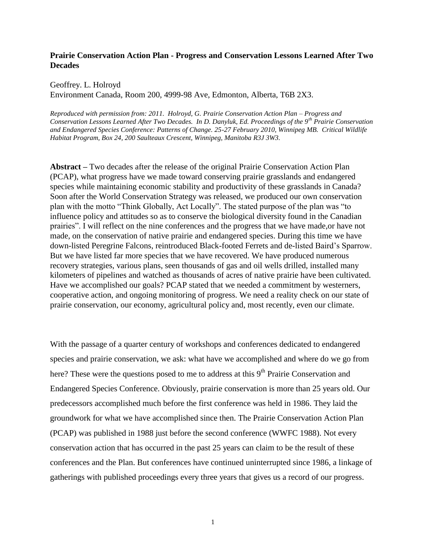# **Prairie Conservation Action Plan - Progress and Conservation Lessons Learned After Two Decades**

#### Geoffrey. L. Holroyd

Environment Canada, Room 200, 4999-98 Ave, Edmonton, Alberta, T6B 2X3.

*Reproduced with permission from: 2011. Holroyd, G. Prairie Conservation Action Plan – Progress and Conservation Lessons Learned After Two Decades. In D. Danyluk, Ed. Proceedings of the 9th Prairie Conservation and Endangered Species Conference: Patterns of Change. 25-27 February 2010, Winnipeg MB. Critical Wildlife Habitat Program, Box 24, 200 Saulteaux Crescent, Winnipeg, Manitoba R3J 3W3.*

**Abstract –** Two decades after the release of the original Prairie Conservation Action Plan (PCAP), what progress have we made toward conserving prairie grasslands and endangered species while maintaining economic stability and productivity of these grasslands in Canada? Soon after the World Conservation Strategy was released, we produced our own conservation plan with the motto "Think Globally, Act Locally". The stated purpose of the plan was "to influence policy and attitudes so as to conserve the biological diversity found in the Canadian prairies". I will reflect on the nine conferences and the progress that we have made,or have not made, on the conservation of native prairie and endangered species. During this time we have down-listed Peregrine Falcons, reintroduced Black-footed Ferrets and de-listed Baird"s Sparrow. But we have listed far more species that we have recovered. We have produced numerous recovery strategies, various plans, seen thousands of gas and oil wells drilled, installed many kilometers of pipelines and watched as thousands of acres of native prairie have been cultivated. Have we accomplished our goals? PCAP stated that we needed a commitment by westerners, cooperative action, and ongoing monitoring of progress. We need a reality check on our state of prairie conservation, our economy, agricultural policy and, most recently, even our climate.

With the passage of a quarter century of workshops and conferences dedicated to endangered species and prairie conservation, we ask: what have we accomplished and where do we go from here? These were the questions posed to me to address at this 9<sup>th</sup> Prairie Conservation and Endangered Species Conference. Obviously, prairie conservation is more than 25 years old. Our predecessors accomplished much before the first conference was held in 1986. They laid the groundwork for what we have accomplished since then. The Prairie Conservation Action Plan (PCAP) was published in 1988 just before the second conference (WWFC 1988). Not every conservation action that has occurred in the past 25 years can claim to be the result of these conferences and the Plan. But conferences have continued uninterrupted since 1986, a linkage of gatherings with published proceedings every three years that gives us a record of our progress.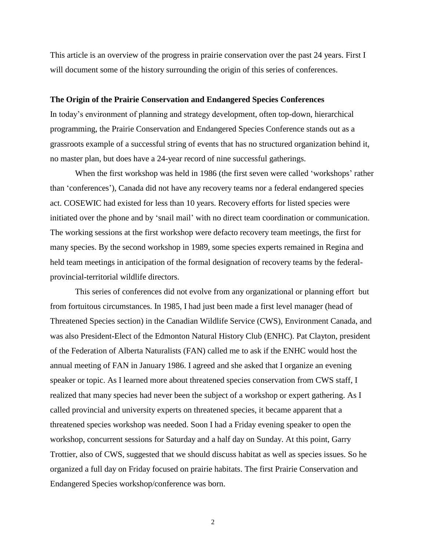This article is an overview of the progress in prairie conservation over the past 24 years. First I will document some of the history surrounding the origin of this series of conferences.

#### **The Origin of the Prairie Conservation and Endangered Species Conferences**

In today"s environment of planning and strategy development, often top-down, hierarchical programming, the Prairie Conservation and Endangered Species Conference stands out as a grassroots example of a successful string of events that has no structured organization behind it, no master plan, but does have a 24-year record of nine successful gatherings.

When the first workshop was held in 1986 (the first seven were called 'workshops' rather than "conferences"), Canada did not have any recovery teams nor a federal endangered species act. COSEWIC had existed for less than 10 years. Recovery efforts for listed species were initiated over the phone and by "snail mail" with no direct team coordination or communication. The working sessions at the first workshop were defacto recovery team meetings, the first for many species. By the second workshop in 1989, some species experts remained in Regina and held team meetings in anticipation of the formal designation of recovery teams by the federalprovincial-territorial wildlife directors.

This series of conferences did not evolve from any organizational or planning effort but from fortuitous circumstances. In 1985, I had just been made a first level manager (head of Threatened Species section) in the Canadian Wildlife Service (CWS), Environment Canada, and was also President-Elect of the Edmonton Natural History Club (ENHC). Pat Clayton, president of the Federation of Alberta Naturalists (FAN) called me to ask if the ENHC would host the annual meeting of FAN in January 1986. I agreed and she asked that I organize an evening speaker or topic. As I learned more about threatened species conservation from CWS staff, I realized that many species had never been the subject of a workshop or expert gathering. As I called provincial and university experts on threatened species, it became apparent that a threatened species workshop was needed. Soon I had a Friday evening speaker to open the workshop, concurrent sessions for Saturday and a half day on Sunday. At this point, Garry Trottier, also of CWS, suggested that we should discuss habitat as well as species issues. So he organized a full day on Friday focused on prairie habitats. The first Prairie Conservation and Endangered Species workshop/conference was born.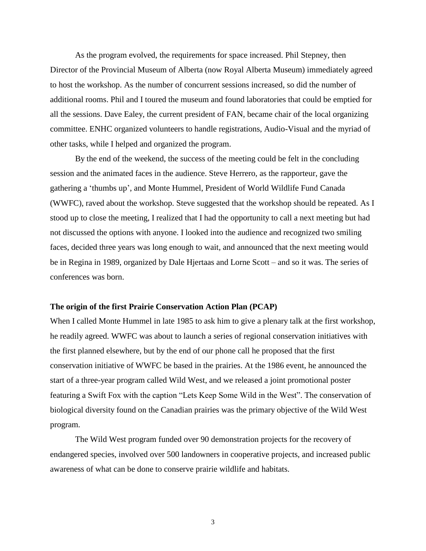As the program evolved, the requirements for space increased. Phil Stepney, then Director of the Provincial Museum of Alberta (now Royal Alberta Museum) immediately agreed to host the workshop. As the number of concurrent sessions increased, so did the number of additional rooms. Phil and I toured the museum and found laboratories that could be emptied for all the sessions. Dave Ealey, the current president of FAN, became chair of the local organizing committee. ENHC organized volunteers to handle registrations, Audio-Visual and the myriad of other tasks, while I helped and organized the program.

By the end of the weekend, the success of the meeting could be felt in the concluding session and the animated faces in the audience. Steve Herrero, as the rapporteur, gave the gathering a "thumbs up", and Monte Hummel, President of World Wildlife Fund Canada (WWFC), raved about the workshop. Steve suggested that the workshop should be repeated. As I stood up to close the meeting, I realized that I had the opportunity to call a next meeting but had not discussed the options with anyone. I looked into the audience and recognized two smiling faces, decided three years was long enough to wait, and announced that the next meeting would be in Regina in 1989, organized by Dale Hjertaas and Lorne Scott – and so it was. The series of conferences was born.

#### **The origin of the first Prairie Conservation Action Plan (PCAP)**

When I called Monte Hummel in late 1985 to ask him to give a plenary talk at the first workshop, he readily agreed. WWFC was about to launch a series of regional conservation initiatives with the first planned elsewhere, but by the end of our phone call he proposed that the first conservation initiative of WWFC be based in the prairies. At the 1986 event, he announced the start of a three-year program called Wild West, and we released a joint promotional poster featuring a Swift Fox with the caption "Lets Keep Some Wild in the West". The conservation of biological diversity found on the Canadian prairies was the primary objective of the Wild West program.

The Wild West program funded over 90 demonstration projects for the recovery of endangered species, involved over 500 landowners in cooperative projects, and increased public awareness of what can be done to conserve prairie wildlife and habitats.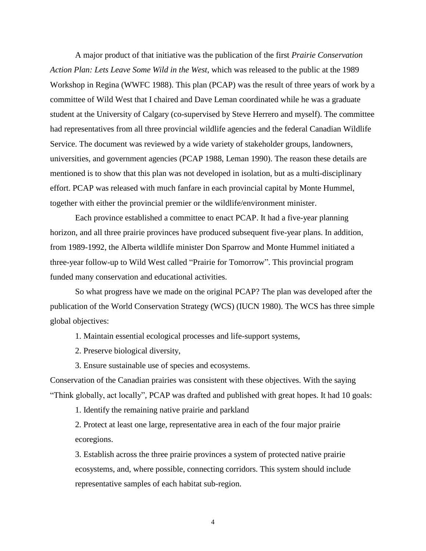A major product of that initiative was the publication of the first *Prairie Conservation Action Plan: Lets Leave Some Wild in the West*, which was released to the public at the 1989 Workshop in Regina (WWFC 1988). This plan (PCAP) was the result of three years of work by a committee of Wild West that I chaired and Dave Leman coordinated while he was a graduate student at the University of Calgary (co-supervised by Steve Herrero and myself). The committee had representatives from all three provincial wildlife agencies and the federal Canadian Wildlife Service. The document was reviewed by a wide variety of stakeholder groups, landowners, universities, and government agencies (PCAP 1988, Leman 1990). The reason these details are mentioned is to show that this plan was not developed in isolation, but as a multi-disciplinary effort. PCAP was released with much fanfare in each provincial capital by Monte Hummel, together with either the provincial premier or the wildlife/environment minister.

Each province established a committee to enact PCAP. It had a five-year planning horizon, and all three prairie provinces have produced subsequent five-year plans. In addition, from 1989-1992, the Alberta wildlife minister Don Sparrow and Monte Hummel initiated a three-year follow-up to Wild West called "Prairie for Tomorrow". This provincial program funded many conservation and educational activities.

So what progress have we made on the original PCAP? The plan was developed after the publication of the World Conservation Strategy (WCS) (IUCN 1980). The WCS has three simple global objectives:

1. Maintain essential ecological processes and life-support systems,

2. Preserve biological diversity,

3. Ensure sustainable use of species and ecosystems.

Conservation of the Canadian prairies was consistent with these objectives. With the saying "Think globally, act locally", PCAP was drafted and published with great hopes. It had 10 goals:

1. Identify the remaining native prairie and parkland

2. Protect at least one large, representative area in each of the four major prairie ecoregions.

3. Establish across the three prairie provinces a system of protected native prairie ecosystems, and, where possible, connecting corridors. This system should include representative samples of each habitat sub-region.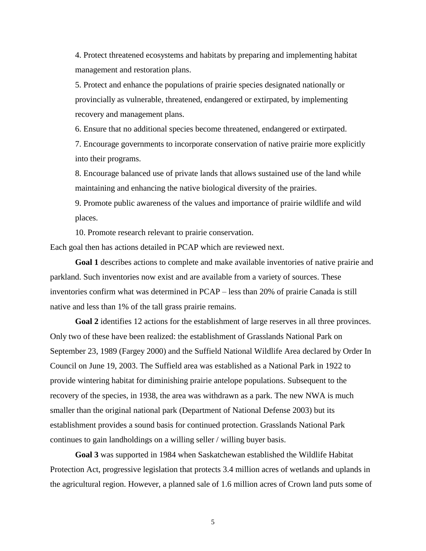4. Protect threatened ecosystems and habitats by preparing and implementing habitat management and restoration plans.

5. Protect and enhance the populations of prairie species designated nationally or provincially as vulnerable, threatened, endangered or extirpated, by implementing recovery and management plans.

6. Ensure that no additional species become threatened, endangered or extirpated.

7. Encourage governments to incorporate conservation of native prairie more explicitly into their programs.

8. Encourage balanced use of private lands that allows sustained use of the land while maintaining and enhancing the native biological diversity of the prairies.

9. Promote public awareness of the values and importance of prairie wildlife and wild places.

10. Promote research relevant to prairie conservation.

Each goal then has actions detailed in PCAP which are reviewed next.

**Goal 1** describes actions to complete and make available inventories of native prairie and parkland. Such inventories now exist and are available from a variety of sources. These inventories confirm what was determined in PCAP – less than 20% of prairie Canada is still native and less than 1% of the tall grass prairie remains.

Goal 2 identifies 12 actions for the establishment of large reserves in all three provinces. Only two of these have been realized: the establishment of Grasslands National Park on September 23, 1989 (Fargey 2000) and the Suffield National Wildlife Area declared by Order In Council on June 19, 2003. The Suffield area was established as a National Park in 1922 to provide wintering habitat for diminishing prairie antelope populations. Subsequent to the recovery of the species, in 1938, the area was withdrawn as a park. The new NWA is much smaller than the original national park (Department of National Defense 2003) but its establishment provides a sound basis for continued protection. Grasslands National Park continues to gain landholdings on a willing seller / willing buyer basis.

**Goal 3** was supported in 1984 when Saskatchewan established the Wildlife Habitat Protection Act, progressive legislation that protects 3.4 million acres of wetlands and uplands in the agricultural region. However, a planned sale of 1.6 million acres of Crown land puts some of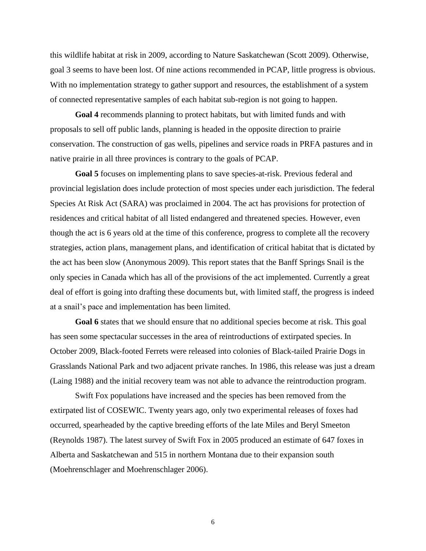this wildlife habitat at risk in 2009, according to Nature Saskatchewan (Scott 2009). Otherwise, goal 3 seems to have been lost. Of nine actions recommended in PCAP, little progress is obvious. With no implementation strategy to gather support and resources, the establishment of a system of connected representative samples of each habitat sub-region is not going to happen.

**Goal 4** recommends planning to protect habitats, but with limited funds and with proposals to sell off public lands, planning is headed in the opposite direction to prairie conservation. The construction of gas wells, pipelines and service roads in PRFA pastures and in native prairie in all three provinces is contrary to the goals of PCAP.

**Goal 5** focuses on implementing plans to save species-at-risk. Previous federal and provincial legislation does include protection of most species under each jurisdiction. The federal Species At Risk Act (SARA) was proclaimed in 2004. The act has provisions for protection of residences and critical habitat of all listed endangered and threatened species. However, even though the act is 6 years old at the time of this conference, progress to complete all the recovery strategies, action plans, management plans, and identification of critical habitat that is dictated by the act has been slow (Anonymous 2009). This report states that the Banff Springs Snail is the only species in Canada which has all of the provisions of the act implemented. Currently a great deal of effort is going into drafting these documents but, with limited staff, the progress is indeed at a snail"s pace and implementation has been limited.

**Goal 6** states that we should ensure that no additional species become at risk. This goal has seen some spectacular successes in the area of reintroductions of extirpated species. In October 2009, Black-footed Ferrets were released into colonies of Black-tailed Prairie Dogs in Grasslands National Park and two adjacent private ranches. In 1986, this release was just a dream (Laing 1988) and the initial recovery team was not able to advance the reintroduction program.

Swift Fox populations have increased and the species has been removed from the extirpated list of COSEWIC. Twenty years ago, only two experimental releases of foxes had occurred, spearheaded by the captive breeding efforts of the late Miles and Beryl Smeeton (Reynolds 1987). The latest survey of Swift Fox in 2005 produced an estimate of 647 foxes in Alberta and Saskatchewan and 515 in northern Montana due to their expansion south (Moehrenschlager and Moehrenschlager 2006).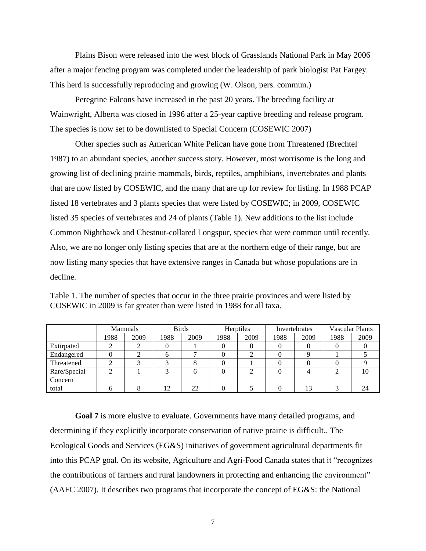Plains Bison were released into the west block of Grasslands National Park in May 2006 after a major fencing program was completed under the leadership of park biologist Pat Fargey. This herd is successfully reproducing and growing (W. Olson, pers. commun.)

Peregrine Falcons have increased in the past 20 years. The breeding facility at Wainwright, Alberta was closed in 1996 after a 25-year captive breeding and release program. The species is now set to be downlisted to Special Concern (COSEWIC 2007)

Other species such as American White Pelican have gone from Threatened (Brechtel 1987) to an abundant species, another success story. However, most worrisome is the long and growing list of declining prairie mammals, birds, reptiles, amphibians, invertebrates and plants that are now listed by COSEWIC, and the many that are up for review for listing. In 1988 PCAP listed 18 vertebrates and 3 plants species that were listed by COSEWIC; in 2009, COSEWIC listed 35 species of vertebrates and 24 of plants (Table 1). New additions to the list include Common Nighthawk and Chestnut-collared Longspur, species that were common until recently. Also, we are no longer only listing species that are at the northern edge of their range, but are now listing many species that have extensive ranges in Canada but whose populations are in decline.

|              | Mammals |      | <b>Birds</b> |      | <b>Herptiles</b> |      | Invertebrates |      | <b>Vascular Plants</b> |      |
|--------------|---------|------|--------------|------|------------------|------|---------------|------|------------------------|------|
|              | 1988    | 2009 | 1988         | 2009 | 1988             | 2009 | 1988          | 2009 | 1988                   | 2009 |
| Extirpated   |         |      |              |      |                  |      |               |      |                        |      |
| Endangered   |         |      |              |      |                  |      |               |      |                        |      |
| Threatened   |         |      |              |      |                  |      |               |      |                        |      |
| Rare/Special |         |      |              |      |                  |      |               |      |                        | 10   |
| Concern      |         |      |              |      |                  |      |               |      |                        |      |
| total        |         |      | า            | 22   |                  |      |               |      |                        | 24   |

Table 1. The number of species that occur in the three prairie provinces and were listed by COSEWIC in 2009 is far greater than were listed in 1988 for all taxa.

**Goal 7** is more elusive to evaluate. Governments have many detailed programs, and determining if they explicitly incorporate conservation of native prairie is difficult.. The Ecological Goods and Services (EG&S) initiatives of government agricultural departments fit into this PCAP goal. On its website, Agriculture and Agri-Food Canada states that it "recognizes the contributions of farmers and rural landowners in protecting and enhancing the environment" (AAFC 2007). It describes two programs that incorporate the concept of EG&S: the National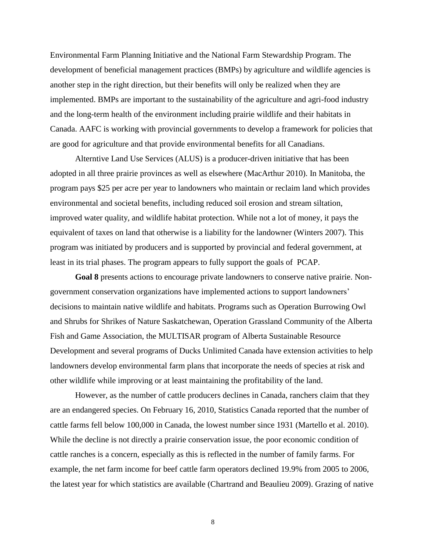Environmental Farm Planning Initiative and the National Farm Stewardship Program. The development of beneficial management practices (BMPs) by agriculture and wildlife agencies is another step in the right direction, but their benefits will only be realized when they are implemented. BMPs are important to the sustainability of the agriculture and agri-food industry and the long-term health of the environment including prairie wildlife and their habitats in Canada. AAFC is working with provincial governments to develop a framework for policies that are good for agriculture and that provide environmental benefits for all Canadians.

Alterntive Land Use Services (ALUS) is a producer-driven initiative that has been adopted in all three prairie provinces as well as elsewhere (MacArthur 2010). In Manitoba, the program pays \$25 per acre per year to landowners who maintain or reclaim land which provides environmental and societal benefits, including reduced soil erosion and stream siltation, improved water quality, and wildlife habitat protection. While not a lot of money, it pays the equivalent of taxes on land that otherwise is a liability for the landowner (Winters 2007). This program was initiated by producers and is supported by provincial and federal government, at least in its trial phases. The program appears to fully support the goals of PCAP.

**Goal 8** presents actions to encourage private landowners to conserve native prairie. Nongovernment conservation organizations have implemented actions to support landowners" decisions to maintain native wildlife and habitats. Programs such as Operation Burrowing Owl and Shrubs for Shrikes of Nature Saskatchewan, Operation Grassland Community of the Alberta Fish and Game Association, the MULTISAR program of Alberta Sustainable Resource Development and several programs of Ducks Unlimited Canada have extension activities to help landowners develop environmental farm plans that incorporate the needs of species at risk and other wildlife while improving or at least maintaining the profitability of the land.

However, as the number of cattle producers declines in Canada, ranchers claim that they are an endangered species. On February 16, 2010, Statistics Canada reported that the number of cattle farms fell below 100,000 in Canada, the lowest number since 1931 (Martello et al. 2010). While the decline is not directly a prairie conservation issue, the poor economic condition of cattle ranches is a concern, especially as this is reflected in the number of family farms. For example, the net farm income for beef cattle farm operators declined 19.9% from 2005 to 2006, the latest year for which statistics are available (Chartrand and Beaulieu 2009). Grazing of native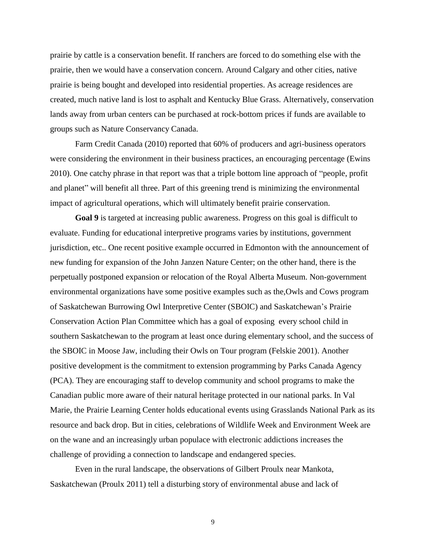prairie by cattle is a conservation benefit. If ranchers are forced to do something else with the prairie, then we would have a conservation concern. Around Calgary and other cities, native prairie is being bought and developed into residential properties. As acreage residences are created, much native land is lost to asphalt and Kentucky Blue Grass. Alternatively, conservation lands away from urban centers can be purchased at rock-bottom prices if funds are available to groups such as Nature Conservancy Canada.

Farm Credit Canada (2010) reported that 60% of producers and agri-business operators were considering the environment in their business practices, an encouraging percentage (Ewins 2010). One catchy phrase in that report was that a triple bottom line approach of "people, profit and planet" will benefit all three. Part of this greening trend is minimizing the environmental impact of agricultural operations, which will ultimately benefit prairie conservation.

**Goal 9** is targeted at increasing public awareness. Progress on this goal is difficult to evaluate. Funding for educational interpretive programs varies by institutions, government jurisdiction, etc.. One recent positive example occurred in Edmonton with the announcement of new funding for expansion of the John Janzen Nature Center; on the other hand, there is the perpetually postponed expansion or relocation of the Royal Alberta Museum. Non-government environmental organizations have some positive examples such as the,Owls and Cows program of Saskatchewan Burrowing Owl Interpretive Center (SBOIC) and Saskatchewan"s Prairie Conservation Action Plan Committee which has a goal of exposing every school child in southern Saskatchewan to the program at least once during elementary school, and the success of the SBOIC in Moose Jaw, including their Owls on Tour program (Felskie 2001). Another positive development is the commitment to extension programming by Parks Canada Agency (PCA). They are encouraging staff to develop community and school programs to make the Canadian public more aware of their natural heritage protected in our national parks. In Val Marie, the Prairie Learning Center holds educational events using Grasslands National Park as its resource and back drop. But in cities, celebrations of Wildlife Week and Environment Week are on the wane and an increasingly urban populace with electronic addictions increases the challenge of providing a connection to landscape and endangered species.

Even in the rural landscape, the observations of Gilbert Proulx near Mankota, Saskatchewan (Proulx 2011) tell a disturbing story of environmental abuse and lack of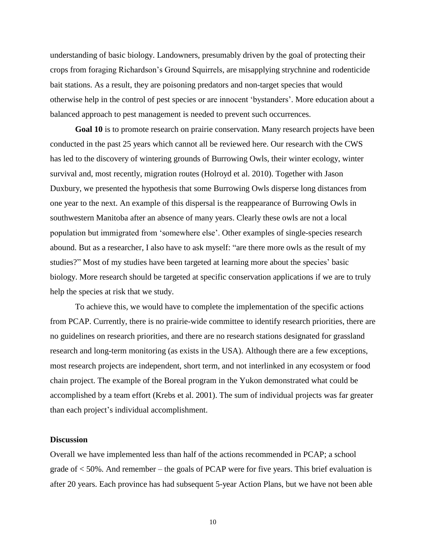understanding of basic biology. Landowners, presumably driven by the goal of protecting their crops from foraging Richardson"s Ground Squirrels, are misapplying strychnine and rodenticide bait stations. As a result, they are poisoning predators and non-target species that would otherwise help in the control of pest species or are innocent "bystanders". More education about a balanced approach to pest management is needed to prevent such occurrences.

**Goal 10** is to promote research on prairie conservation. Many research projects have been conducted in the past 25 years which cannot all be reviewed here. Our research with the CWS has led to the discovery of wintering grounds of Burrowing Owls, their winter ecology, winter survival and, most recently, migration routes (Holroyd et al. 2010). Together with Jason Duxbury, we presented the hypothesis that some Burrowing Owls disperse long distances from one year to the next. An example of this dispersal is the reappearance of Burrowing Owls in southwestern Manitoba after an absence of many years. Clearly these owls are not a local population but immigrated from "somewhere else". Other examples of single-species research abound. But as a researcher, I also have to ask myself: "are there more owls as the result of my studies?" Most of my studies have been targeted at learning more about the species" basic biology. More research should be targeted at specific conservation applications if we are to truly help the species at risk that we study.

To achieve this, we would have to complete the implementation of the specific actions from PCAP. Currently, there is no prairie-wide committee to identify research priorities, there are no guidelines on research priorities, and there are no research stations designated for grassland research and long-term monitoring (as exists in the USA). Although there are a few exceptions, most research projects are independent, short term, and not interlinked in any ecosystem or food chain project. The example of the Boreal program in the Yukon demonstrated what could be accomplished by a team effort (Krebs et al. 2001). The sum of individual projects was far greater than each project"s individual accomplishment.

### **Discussion**

Overall we have implemented less than half of the actions recommended in PCAP; a school grade of < 50%. And remember – the goals of PCAP were for five years. This brief evaluation is after 20 years. Each province has had subsequent 5-year Action Plans, but we have not been able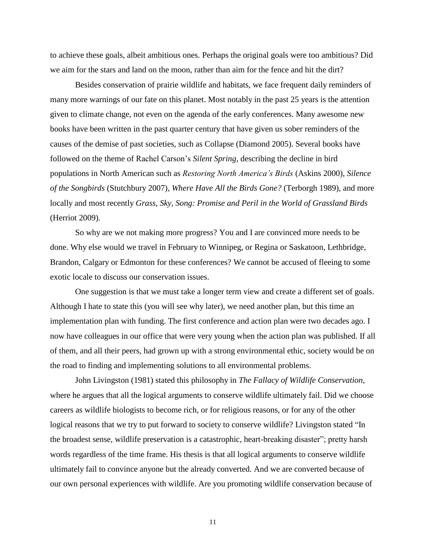to achieve these goals, albeit ambitious ones. Perhaps the original goals were too ambitious? Did we aim for the stars and land on the moon, rather than aim for the fence and hit the dirt?

Besides conservation of prairie wildlife and habitats, we face frequent daily reminders of many more warnings of our fate on this planet. Most notably in the past 25 years is the attention given to climate change, not even on the agenda of the early conferences. Many awesome new books have been written in the past quarter century that have given us sober reminders of the causes of the demise of past societies, such as Collapse (Diamond 2005). Several books have followed on the theme of Rachel Carson"s *Silent Spring*, describing the decline in bird populations in North American such as *Restoring North America's Birds* (Askins 2000), *Silence of the Songbirds* (Stutchbury 2007), *Where Have All the Birds Gone?* (Terborgh 1989), and more locally and most recently *Grass, Sky, Song: Promise and Peril in the World of Grassland Birds*  (Herriot 2009).

So why are we not making more progress? You and I are convinced more needs to be done. Why else would we travel in February to Winnipeg, or Regina or Saskatoon, Lethbridge, Brandon, Calgary or Edmonton for these conferences? We cannot be accused of fleeing to some exotic locale to discuss our conservation issues.

One suggestion is that we must take a longer term view and create a different set of goals. Although I hate to state this (you will see why later), we need another plan, but this time an implementation plan with funding. The first conference and action plan were two decades ago. I now have colleagues in our office that were very young when the action plan was published. If all of them, and all their peers, had grown up with a strong environmental ethic, society would be on the road to finding and implementing solutions to all environmental problems.

John Livingston (1981) stated this philosophy in *The Fallacy of Wildlife Conservation*, where he argues that all the logical arguments to conserve wildlife ultimately fail. Did we choose careers as wildlife biologists to become rich, or for religious reasons, or for any of the other logical reasons that we try to put forward to society to conserve wildlife? Livingston stated "In the broadest sense, wildlife preservation is a catastrophic, heart-breaking disaster"; pretty harsh words regardless of the time frame. His thesis is that all logical arguments to conserve wildlife ultimately fail to convince anyone but the already converted. And we are converted because of our own personal experiences with wildlife. Are you promoting wildlife conservation because of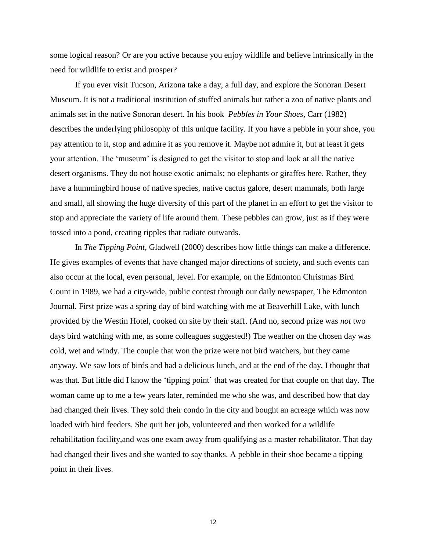some logical reason? Or are you active because you enjoy wildlife and believe intrinsically in the need for wildlife to exist and prosper?

If you ever visit Tucson, Arizona take a day, a full day, and explore the Sonoran Desert Museum. It is not a traditional institution of stuffed animals but rather a zoo of native plants and animals set in the native Sonoran desert. In his book *Pebbles in Your Shoes*, Carr (1982) describes the underlying philosophy of this unique facility. If you have a pebble in your shoe, you pay attention to it, stop and admire it as you remove it. Maybe not admire it, but at least it gets your attention. The "museum" is designed to get the visitor to stop and look at all the native desert organisms. They do not house exotic animals; no elephants or giraffes here. Rather, they have a hummingbird house of native species, native cactus galore, desert mammals, both large and small, all showing the huge diversity of this part of the planet in an effort to get the visitor to stop and appreciate the variety of life around them. These pebbles can grow, just as if they were tossed into a pond, creating ripples that radiate outwards.

In *The Tipping Point*, Gladwell (2000) describes how little things can make a difference. He gives examples of events that have changed major directions of society, and such events can also occur at the local, even personal, level. For example, on the Edmonton Christmas Bird Count in 1989, we had a city-wide, public contest through our daily newspaper, The Edmonton Journal. First prize was a spring day of bird watching with me at Beaverhill Lake, with lunch provided by the Westin Hotel, cooked on site by their staff. (And no, second prize was *not* two days bird watching with me, as some colleagues suggested!) The weather on the chosen day was cold, wet and windy. The couple that won the prize were not bird watchers, but they came anyway. We saw lots of birds and had a delicious lunch, and at the end of the day, I thought that was that. But little did I know the 'tipping point' that was created for that couple on that day. The woman came up to me a few years later, reminded me who she was, and described how that day had changed their lives. They sold their condo in the city and bought an acreage which was now loaded with bird feeders. She quit her job, volunteered and then worked for a wildlife rehabilitation facility,and was one exam away from qualifying as a master rehabilitator. That day had changed their lives and she wanted to say thanks. A pebble in their shoe became a tipping point in their lives.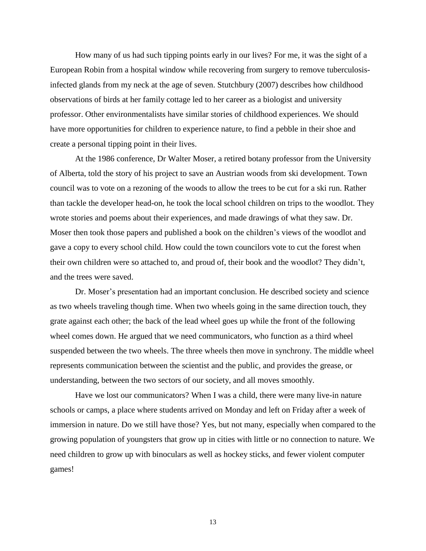How many of us had such tipping points early in our lives? For me, it was the sight of a European Robin from a hospital window while recovering from surgery to remove tuberculosisinfected glands from my neck at the age of seven. Stutchbury (2007) describes how childhood observations of birds at her family cottage led to her career as a biologist and university professor. Other environmentalists have similar stories of childhood experiences. We should have more opportunities for children to experience nature, to find a pebble in their shoe and create a personal tipping point in their lives.

At the 1986 conference, Dr Walter Moser, a retired botany professor from the University of Alberta, told the story of his project to save an Austrian woods from ski development. Town council was to vote on a rezoning of the woods to allow the trees to be cut for a ski run. Rather than tackle the developer head-on, he took the local school children on trips to the woodlot. They wrote stories and poems about their experiences, and made drawings of what they saw. Dr. Moser then took those papers and published a book on the children"s views of the woodlot and gave a copy to every school child. How could the town councilors vote to cut the forest when their own children were so attached to, and proud of, their book and the woodlot? They didn"t, and the trees were saved.

Dr. Moser"s presentation had an important conclusion. He described society and science as two wheels traveling though time. When two wheels going in the same direction touch, they grate against each other; the back of the lead wheel goes up while the front of the following wheel comes down. He argued that we need communicators, who function as a third wheel suspended between the two wheels. The three wheels then move in synchrony. The middle wheel represents communication between the scientist and the public, and provides the grease, or understanding, between the two sectors of our society, and all moves smoothly.

Have we lost our communicators? When I was a child, there were many live-in nature schools or camps, a place where students arrived on Monday and left on Friday after a week of immersion in nature. Do we still have those? Yes, but not many, especially when compared to the growing population of youngsters that grow up in cities with little or no connection to nature. We need children to grow up with binoculars as well as hockey sticks, and fewer violent computer games!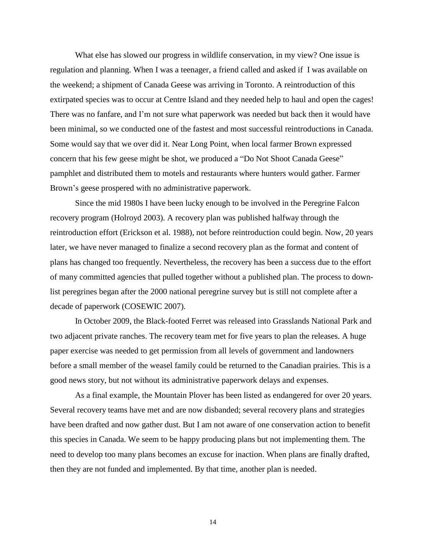What else has slowed our progress in wildlife conservation, in my view? One issue is regulation and planning. When I was a teenager, a friend called and asked if I was available on the weekend; a shipment of Canada Geese was arriving in Toronto. A reintroduction of this extirpated species was to occur at Centre Island and they needed help to haul and open the cages! There was no fanfare, and I"m not sure what paperwork was needed but back then it would have been minimal, so we conducted one of the fastest and most successful reintroductions in Canada. Some would say that we over did it. Near Long Point, when local farmer Brown expressed concern that his few geese might be shot, we produced a "Do Not Shoot Canada Geese" pamphlet and distributed them to motels and restaurants where hunters would gather. Farmer Brown"s geese prospered with no administrative paperwork.

Since the mid 1980s I have been lucky enough to be involved in the Peregrine Falcon recovery program (Holroyd 2003). A recovery plan was published halfway through the reintroduction effort (Erickson et al. 1988), not before reintroduction could begin. Now, 20 years later, we have never managed to finalize a second recovery plan as the format and content of plans has changed too frequently. Nevertheless, the recovery has been a success due to the effort of many committed agencies that pulled together without a published plan. The process to downlist peregrines began after the 2000 national peregrine survey but is still not complete after a decade of paperwork (COSEWIC 2007).

In October 2009, the Black-footed Ferret was released into Grasslands National Park and two adjacent private ranches. The recovery team met for five years to plan the releases. A huge paper exercise was needed to get permission from all levels of government and landowners before a small member of the weasel family could be returned to the Canadian prairies. This is a good news story, but not without its administrative paperwork delays and expenses.

As a final example, the Mountain Plover has been listed as endangered for over 20 years. Several recovery teams have met and are now disbanded; several recovery plans and strategies have been drafted and now gather dust. But I am not aware of one conservation action to benefit this species in Canada. We seem to be happy producing plans but not implementing them. The need to develop too many plans becomes an excuse for inaction. When plans are finally drafted, then they are not funded and implemented. By that time, another plan is needed.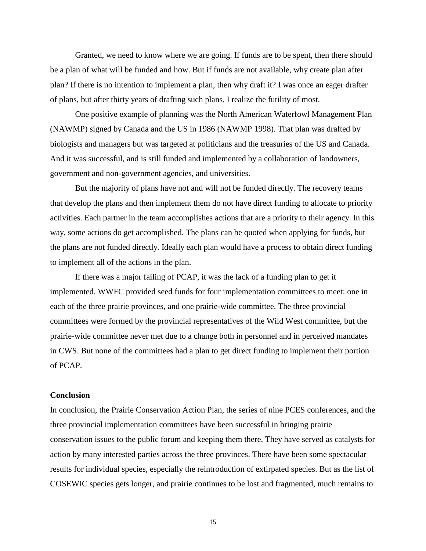Granted, we need to know where we are going. If funds are to be spent, then there should be a plan of what will be funded and how. But if funds are not available, why create plan after plan? If there is no intention to implement a plan, then why draft it? I was once an eager drafter of plans, but after thirty years of drafting such plans, I realize the futility of most.

One positive example of planning was the North American Waterfowl Management Plan (NAWMP) signed by Canada and the US in 1986 (NAWMP 1998). That plan was drafted by biologists and managers but was targeted at politicians and the treasuries of the US and Canada. And it was successful, and is still funded and implemented by a collaboration of landowners, government and non-government agencies, and universities.

But the majority of plans have not and will not be funded directly. The recovery teams that develop the plans and then implement them do not have direct funding to allocate to priority activities. Each partner in the team accomplishes actions that are a priority to their agency. In this way, some actions do get accomplished. The plans can be quoted when applying for funds, but the plans are not funded directly. Ideally each plan would have a process to obtain direct funding to implement all of the actions in the plan.

If there was a major failing of PCAP, it was the lack of a funding plan to get it implemented. WWFC provided seed funds for four implementation committees to meet: one in each of the three prairie provinces, and one prairie-wide committee. The three provincial committees were formed by the provincial representatives of the Wild West committee, but the prairie-wide committee never met due to a change both in personnel and in perceived mandates in CWS. But none of the committees had a plan to get direct funding to implement their portion of PCAP.

### **Conclusion**

In conclusion, the Prairie Conservation Action Plan, the series of nine PCES conferences, and the three provincial implementation committees have been successful in bringing prairie conservation issues to the public forum and keeping them there. They have served as catalysts for action by many interested parties across the three provinces. There have been some spectacular results for individual species, especially the reintroduction of extirpated species. But as the list of COSEWIC species gets longer, and prairie continues to be lost and fragmented, much remains to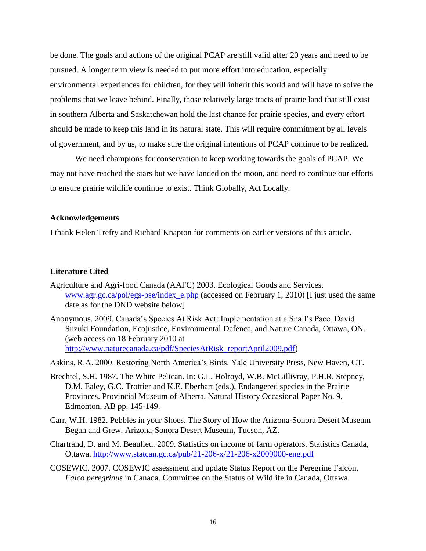be done. The goals and actions of the original PCAP are still valid after 20 years and need to be pursued. A longer term view is needed to put more effort into education, especially environmental experiences for children, for they will inherit this world and will have to solve the problems that we leave behind. Finally, those relatively large tracts of prairie land that still exist in southern Alberta and Saskatchewan hold the last chance for prairie species, and every effort should be made to keep this land in its natural state. This will require commitment by all levels of government, and by us, to make sure the original intentions of PCAP continue to be realized.

We need champions for conservation to keep working towards the goals of PCAP. We may not have reached the stars but we have landed on the moon, and need to continue our efforts to ensure prairie wildlife continue to exist. Think Globally, Act Locally.

### **Acknowledgements**

I thank Helen Trefry and Richard Knapton for comments on earlier versions of this article.

## **Literature Cited**

- Agriculture and Agri-food Canada (AAFC) 2003. Ecological Goods and Services. www.agr.gc.ca/pol/egs-bse/index e.php (accessed on February 1, 2010) [I just used the same date as for the DND website below]
- Anonymous. 2009. Canada"s Species At Risk Act: Implementation at a Snail"s Pace. David Suzuki Foundation, Ecojustice, Environmental Defence, and Nature Canada, Ottawa, ON. (web access on 18 February 2010 at [http://www.naturecanada.ca/pdf/SpeciesAtRisk\\_reportApril2009.pdf\)](http://www.naturecanada.ca/pdf/SpeciesAtRisk_reportApril2009.pdf)

Askins, R.A. 2000. Restoring North America"s Birds. Yale University Press, New Haven, CT.

- Brechtel, S.H. 1987. The White Pelican. In: G.L. Holroyd, W.B. McGillivray, P.H.R. Stepney, D.M. Ealey, G.C. Trottier and K.E. Eberhart (eds.), Endangered species in the Prairie Provinces. Provincial Museum of Alberta, Natural History Occasional Paper No. 9, Edmonton, AB pp. 145-149.
- Carr, W.H. 1982. Pebbles in your Shoes. The Story of How the Arizona-Sonora Desert Museum Began and Grew. Arizona-Sonora Desert Museum, Tucson, AZ.
- Chartrand, D. and M. Beaulieu. 2009. Statistics on income of farm operators. Statistics Canada, Ottawa.<http://www.statcan.gc.ca/pub/21-206-x/21-206-x2009000-eng.pdf>
- COSEWIC. 2007. COSEWIC assessment and update Status Report on the Peregrine Falcon, *Falco peregrinus* in Canada. Committee on the Status of Wildlife in Canada, Ottawa.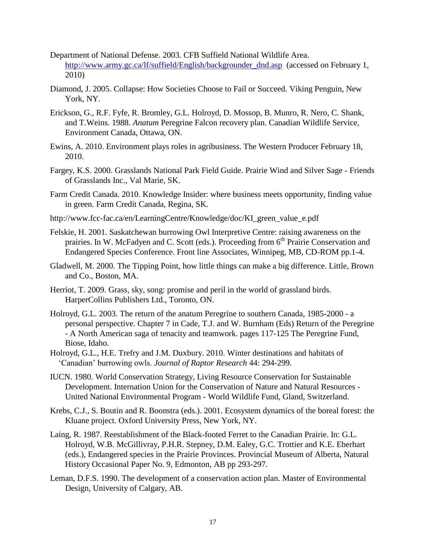- Department of National Defense. 2003. CFB Suffield National Wildlife Area. [http://www.army.gc.ca/lf/suffield/English/backgrounder\\_dnd.asp](http://www.army.gc.ca/lf/suffield/English/backgrounder_dnd.asp) (accessed on February 1, 2010)
- Diamond, J. 2005. Collapse: How Societies Choose to Fail or Succeed. Viking Penguin, New York, NY.
- Erickson, G., R.F. Fyfe, R. Bromley, G.L. Holroyd, D. Mossop, B. Munro, R. Nero, C. Shank, and T.Weins. 1988. *Anatum* Peregrine Falcon recovery plan. Canadian Wildlife Service, Environment Canada, Ottawa, ON.
- Ewins, A. 2010. Environment plays roles in agribusiness. The Western Producer February 18, 2010.
- Fargey, K.S. 2000. Grasslands National Park Field Guide. Prairie Wind and Silver Sage Friends of Grasslands Inc., Val Marie, SK.
- Farm Credit Canada. 2010. Knowledge Insider: where business meets opportunity, finding value in green. Farm Credit Canada, Regina, SK.
- http://www.fcc-fac.ca/en/LearningCentre/Knowledge/doc/KI\_green\_value\_e.pdf
- Felskie, H. 2001. Saskatchewan burrowing Owl Interpretive Centre: raising awareness on the prairies. In W. McFadyen and C. Scott (eds.). Proceeding from  $6<sup>th</sup>$  Prairie Conservation and Endangered Species Conference. Front line Associates, Winnipeg, MB, CD-ROM pp.1-4.
- Gladwell, M. 2000. The Tipping Point, how little things can make a big difference. Little, Brown and Co., Boston, MA.
- Herriot, T. 2009. Grass, sky, song: promise and peril in the world of grassland birds. HarperCollins Publishers Ltd., Toronto, ON.
- Holroyd, G.L. 2003. The return of the anatum Peregrine to southern Canada, 1985-2000 a personal perspective. Chapter 7 in Cade, T.J. and W. Burnham (Eds) Return of the Peregrine - A North American saga of tenacity and teamwork. pages 117-125 The Peregrine Fund, Biose, Idaho.
- Holroyd, G.L., H.E. Trefry and J.M. Duxbury. 2010. Winter destinations and habitats of "Canadian" burrowing owls. *Journal of Raptor Research* 44: 294-299.
- IUCN. 1980. World Conservation Strategy, Living Resource Conservation for Sustainable Development. Internation Union for the Conservation of Nature and Natural Resources - United National Environmental Program - World Wildlife Fund, Gland, Switzerland.
- Krebs, C.J., S. Boutin and R. Boonstra (eds.). 2001. Ecosystem dynamics of the boreal forest: the Kluane project. Oxford University Press, New York, NY.
- Laing, R. 1987. Reestablishment of the Black-footed Ferret to the Canadian Prairie. In: G.L. Holroyd, W.B. McGillivray, P.H.R. Stepney, D.M. Ealey, G.C. Trottier and K.E. Eberhart (eds.), Endangered species in the Prairie Provinces. Provincial Museum of Alberta, Natural History Occasional Paper No. 9, Edmonton, AB pp 293-297.
- Leman, D.F.S. 1990. The development of a conservation action plan. Master of Environmental Design, University of Calgary, AB.